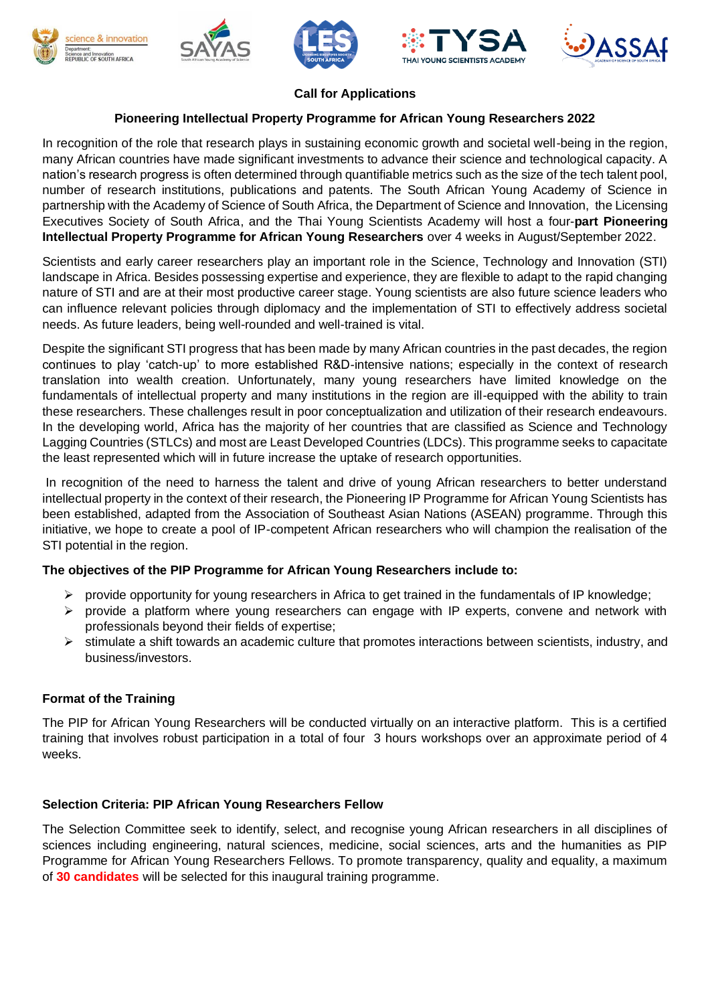









## **Call for Applications**

# **Pioneering Intellectual Property Programme for African Young Researchers 2022**

In recognition of the role that research plays in sustaining economic growth and societal well-being in the region, many African countries have made significant investments to advance their science and technological capacity. A nation's research progress is often determined through quantifiable metrics such as the size of the tech talent pool, number of research institutions, publications and patents. The South African Young Academy of Science in partnership with the Academy of Science of South Africa, the Department of Science and Innovation, the Licensing Executives Society of South Africa, and the Thai Young Scientists Academy will host a four-**part Pioneering Intellectual Property Programme for African Young Researchers** over 4 weeks in August/September 2022.

Scientists and early career researchers play an important role in the Science, Technology and Innovation (STI) landscape in Africa. Besides possessing expertise and experience, they are flexible to adapt to the rapid changing nature of STI and are at their most productive career stage. Young scientists are also future science leaders who can influence relevant policies through diplomacy and the implementation of STI to effectively address societal needs. As future leaders, being well-rounded and well-trained is vital.

Despite the significant STI progress that has been made by many African countries in the past decades, the region continues to play 'catch-up' to more established R&D-intensive nations; especially in the context of research translation into wealth creation. Unfortunately, many young researchers have limited knowledge on the fundamentals of intellectual property and many institutions in the region are ill-equipped with the ability to train these researchers. These challenges result in poor conceptualization and utilization of their research endeavours. In the developing world, Africa has the majority of her countries that are classified as Science and Technology Lagging Countries (STLCs) and most are Least Developed Countries (LDCs). This programme seeks to capacitate the least represented which will in future increase the uptake of research opportunities.

In recognition of the need to harness the talent and drive of young African researchers to better understand intellectual property in the context of their research, the Pioneering IP Programme for African Young Scientists has been established, adapted from the Association of Southeast Asian Nations (ASEAN) programme. Through this initiative, we hope to create a pool of IP-competent African researchers who will champion the realisation of the STI potential in the region.

## **The objectives of the PIP Programme for African Young Researchers include to:**

- $\triangleright$  provide opportunity for young researchers in Africa to get trained in the fundamentals of IP knowledge;
- $\triangleright$  provide a platform where young researchers can engage with IP experts, convene and network with professionals beyond their fields of expertise;
- $\triangleright$  stimulate a shift towards an academic culture that promotes interactions between scientists, industry, and business/investors.

## **Format of the Training**

The PIP for African Young Researchers will be conducted virtually on an interactive platform. This is a certified training that involves robust participation in a total of four 3 hours workshops over an approximate period of 4 weeks.

## **Selection Criteria: PIP African Young Researchers Fellow**

The Selection Committee seek to identify, select, and recognise young African researchers in all disciplines of sciences including engineering, natural sciences, medicine, social sciences, arts and the humanities as PIP Programme for African Young Researchers Fellows. To promote transparency, quality and equality, a maximum of **30 candidates** will be selected for this inaugural training programme.